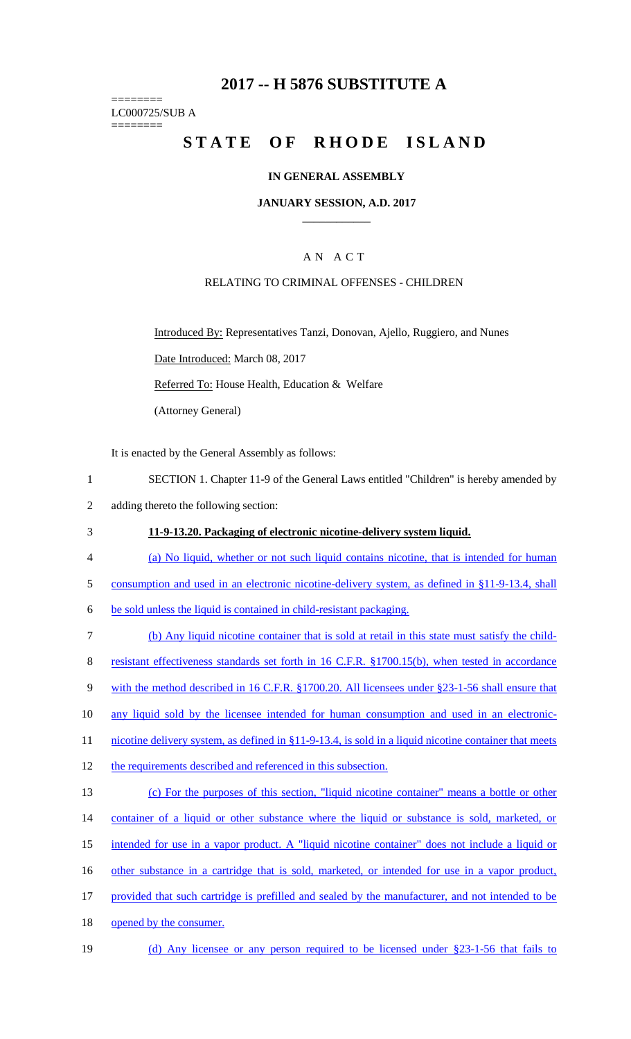## **2017 -- H 5876 SUBSTITUTE A**

======== LC000725/SUB A

========

# STATE OF RHODE ISLAND

#### **IN GENERAL ASSEMBLY**

#### **JANUARY SESSION, A.D. 2017 \_\_\_\_\_\_\_\_\_\_\_\_**

## A N A C T

#### RELATING TO CRIMINAL OFFENSES - CHILDREN

Introduced By: Representatives Tanzi, Donovan, Ajello, Ruggiero, and Nunes

Date Introduced: March 08, 2017

Referred To: House Health, Education & Welfare

(Attorney General)

It is enacted by the General Assembly as follows:

- 1 SECTION 1. Chapter 11-9 of the General Laws entitled "Children" is hereby amended by
- 2 adding thereto the following section:
- 3 **11-9-13.20. Packaging of electronic nicotine-delivery system liquid.**
- 4 (a) No liquid, whether or not such liquid contains nicotine, that is intended for human
- 5 consumption and used in an electronic nicotine-delivery system, as defined in §11-9-13.4, shall

6 be sold unless the liquid is contained in child-resistant packaging.

- 7 (b) Any liquid nicotine container that is sold at retail in this state must satisfy the child-8 resistant effectiveness standards set forth in 16 C.F.R. §1700.15(b), when tested in accordance 9 with the method described in 16 C.F.R. §1700.20. All licensees under §23-1-56 shall ensure that 10 any liquid sold by the licensee intended for human consumption and used in an electronic-11 nicotine delivery system, as defined in §11-9-13.4, is sold in a liquid nicotine container that meets 12 the requirements described and referenced in this subsection. 13 (c) For the purposes of this section, "liquid nicotine container" means a bottle or other 14 container of a liquid or other substance where the liquid or substance is sold, marketed, or 15 intended for use in a vapor product. A "liquid nicotine container" does not include a liquid or 16 other substance in a cartridge that is sold, marketed, or intended for use in a vapor product, 17 provided that such cartridge is prefilled and sealed by the manufacturer, and not intended to be 18 opened by the consumer.
- 19 (d) Any licensee or any person required to be licensed under §23-1-56 that fails to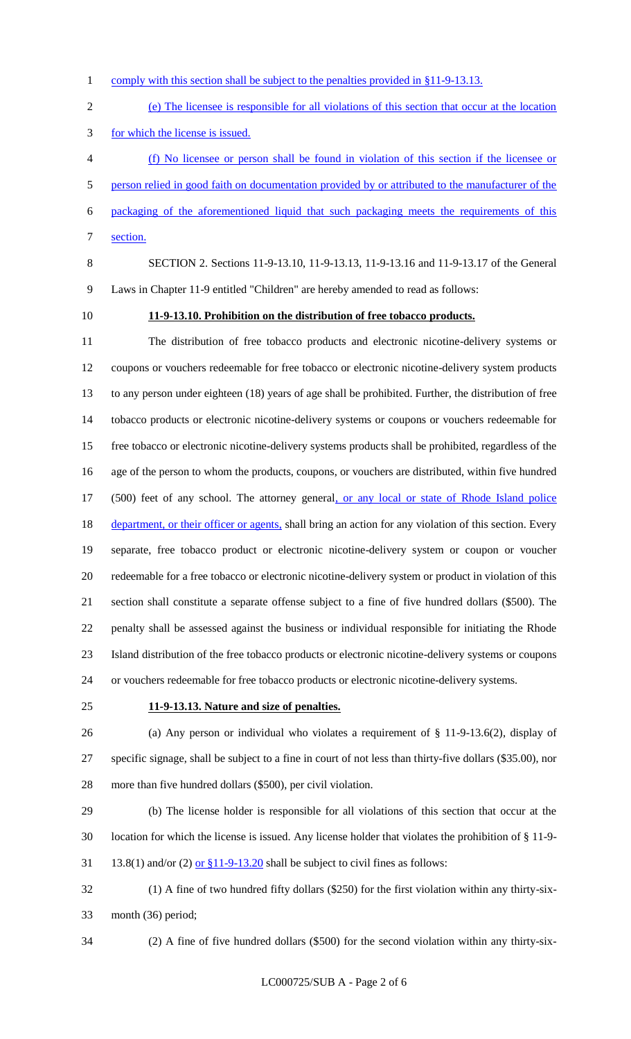1 comply with this section shall be subject to the penalties provided in §11-9-13.13.

 (e) The licensee is responsible for all violations of this section that occur at the location for which the license is issued.

 (f) No licensee or person shall be found in violation of this section if the licensee or person relied in good faith on documentation provided by or attributed to the manufacturer of the packaging of the aforementioned liquid that such packaging meets the requirements of this section.

SECTION 2. Sections 11-9-13.10, 11-9-13.13, 11-9-13.16 and 11-9-13.17 of the General

Laws in Chapter 11-9 entitled "Children" are hereby amended to read as follows:

#### **11-9-13.10. Prohibition on the distribution of free tobacco products.**

 The distribution of free tobacco products and electronic nicotine-delivery systems or coupons or vouchers redeemable for free tobacco or electronic nicotine-delivery system products to any person under eighteen (18) years of age shall be prohibited. Further, the distribution of free tobacco products or electronic nicotine-delivery systems or coupons or vouchers redeemable for free tobacco or electronic nicotine-delivery systems products shall be prohibited, regardless of the age of the person to whom the products, coupons, or vouchers are distributed, within five hundred (500) feet of any school. The attorney general, or any local or state of Rhode Island police 18 department, or their officer or agents, shall bring an action for any violation of this section. Every separate, free tobacco product or electronic nicotine-delivery system or coupon or voucher redeemable for a free tobacco or electronic nicotine-delivery system or product in violation of this section shall constitute a separate offense subject to a fine of five hundred dollars (\$500). The penalty shall be assessed against the business or individual responsible for initiating the Rhode Island distribution of the free tobacco products or electronic nicotine-delivery systems or coupons or vouchers redeemable for free tobacco products or electronic nicotine-delivery systems.

#### **11-9-13.13. Nature and size of penalties.**

 (a) Any person or individual who violates a requirement of § 11-9-13.6(2), display of specific signage, shall be subject to a fine in court of not less than thirty-five dollars (\$35.00), nor more than five hundred dollars (\$500), per civil violation.

 (b) The license holder is responsible for all violations of this section that occur at the location for which the license is issued. Any license holder that violates the prohibition of § 11-9- 31 13.8(1) and/or (2) or  $$11-9-13.20$  shall be subject to civil fines as follows:

 (1) A fine of two hundred fifty dollars (\$250) for the first violation within any thirty-six-month (36) period;

(2) A fine of five hundred dollars (\$500) for the second violation within any thirty-six-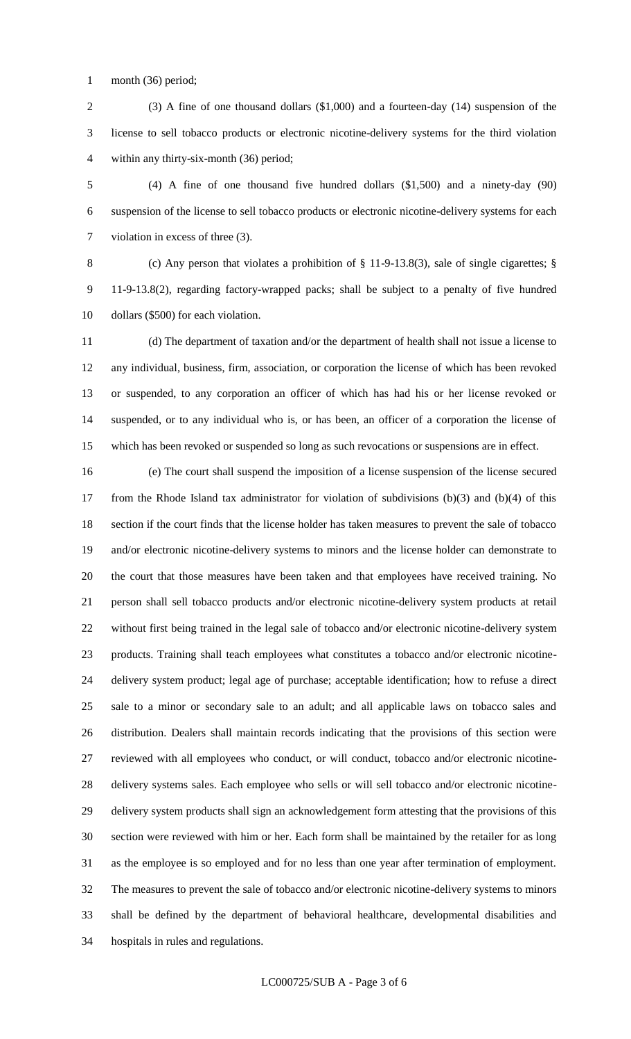1 month (36) period;

 (3) A fine of one thousand dollars (\$1,000) and a fourteen-day (14) suspension of the license to sell tobacco products or electronic nicotine-delivery systems for the third violation within any thirty-six-month (36) period;

 (4) A fine of one thousand five hundred dollars (\$1,500) and a ninety-day (90) suspension of the license to sell tobacco products or electronic nicotine-delivery systems for each violation in excess of three (3).

 (c) Any person that violates a prohibition of § 11-9-13.8(3), sale of single cigarettes; § 11-9-13.8(2), regarding factory-wrapped packs; shall be subject to a penalty of five hundred dollars (\$500) for each violation.

 (d) The department of taxation and/or the department of health shall not issue a license to any individual, business, firm, association, or corporation the license of which has been revoked or suspended, to any corporation an officer of which has had his or her license revoked or suspended, or to any individual who is, or has been, an officer of a corporation the license of which has been revoked or suspended so long as such revocations or suspensions are in effect.

 (e) The court shall suspend the imposition of a license suspension of the license secured from the Rhode Island tax administrator for violation of subdivisions (b)(3) and (b)(4) of this section if the court finds that the license holder has taken measures to prevent the sale of tobacco and/or electronic nicotine-delivery systems to minors and the license holder can demonstrate to the court that those measures have been taken and that employees have received training. No person shall sell tobacco products and/or electronic nicotine-delivery system products at retail without first being trained in the legal sale of tobacco and/or electronic nicotine-delivery system products. Training shall teach employees what constitutes a tobacco and/or electronic nicotine- delivery system product; legal age of purchase; acceptable identification; how to refuse a direct sale to a minor or secondary sale to an adult; and all applicable laws on tobacco sales and distribution. Dealers shall maintain records indicating that the provisions of this section were reviewed with all employees who conduct, or will conduct, tobacco and/or electronic nicotine- delivery systems sales. Each employee who sells or will sell tobacco and/or electronic nicotine- delivery system products shall sign an acknowledgement form attesting that the provisions of this section were reviewed with him or her. Each form shall be maintained by the retailer for as long as the employee is so employed and for no less than one year after termination of employment. The measures to prevent the sale of tobacco and/or electronic nicotine-delivery systems to minors shall be defined by the department of behavioral healthcare, developmental disabilities and hospitals in rules and regulations.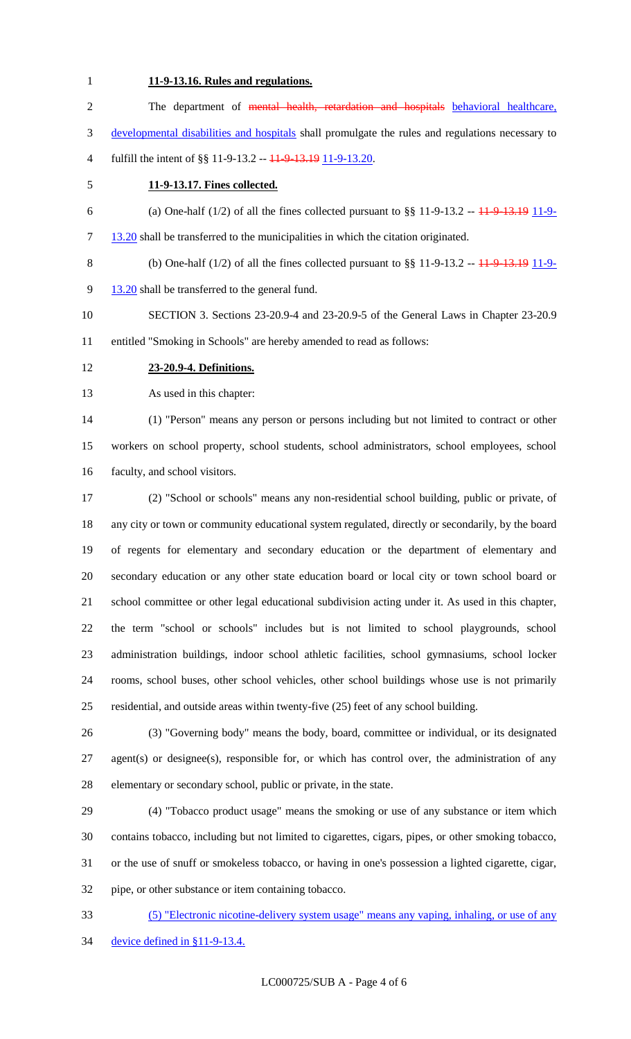## **11-9-13.16. Rules and regulations.**

| $\sqrt{2}$     | The department of mental health, retardation and hospitals behavioral healthcare,                       |
|----------------|---------------------------------------------------------------------------------------------------------|
| 3              | developmental disabilities and hospitals shall promulgate the rules and regulations necessary to        |
| $\overline{4}$ | fulfill the intent of §§ 11-9-13.2 -- 11-9-13.19 11-9-13.20.                                            |
| 5              | 11-9-13.17. Fines collected.                                                                            |
| 6              | (a) One-half $(1/2)$ of all the fines collected pursuant to §§ 11-9-13.2 -- $\frac{11}{9}$ -13.19 11-9- |
| $\tau$         | 13.20 shall be transferred to the municipalities in which the citation originated.                      |
| $\, 8$         | (b) One-half $(1/2)$ of all the fines collected pursuant to §§ 11-9-13.2 -- $\frac{11}{9}$ -13.19 11-9- |
| 9              | 13.20 shall be transferred to the general fund.                                                         |
| 10             | SECTION 3. Sections 23-20.9-4 and 23-20.9-5 of the General Laws in Chapter 23-20.9                      |
| 11             | entitled "Smoking in Schools" are hereby amended to read as follows:                                    |
| 12             | 23-20.9-4. Definitions.                                                                                 |
| 13             | As used in this chapter:                                                                                |
| 14             | (1) "Person" means any person or persons including but not limited to contract or other                 |
| 15             | workers on school property, school students, school administrators, school employees, school            |
| 16             | faculty, and school visitors.                                                                           |
| 17             | (2) "School or schools" means any non-residential school building, public or private, of                |
| 18             | any city or town or community educational system regulated, directly or secondarily, by the board       |
| 19             | of regents for elementary and secondary education or the department of elementary and                   |
| 20             | secondary education or any other state education board or local city or town school board or            |
| 21             | school committee or other legal educational subdivision acting under it. As used in this chapter,       |
| 22             | the term "school or schools" includes but is not limited to school playgrounds, school                  |
| 23             | administration buildings, indoor school athletic facilities, school gymnasiums, school locker           |
| 24             | rooms, school buses, other school vehicles, other school buildings whose use is not primarily           |
| 25             | residential, and outside areas within twenty-five (25) feet of any school building.                     |
| 26             | (3) "Governing body" means the body, board, committee or individual, or its designated                  |
| 27             | agent(s) or designee(s), responsible for, or which has control over, the administration of any          |
| 28             | elementary or secondary school, public or private, in the state.                                        |
| 29             | (4) "Tobacco product usage" means the smoking or use of any substance or item which                     |
| 30             | contains tobacco, including but not limited to cigarettes, cigars, pipes, or other smoking tobacco,     |
| 31             | or the use of snuff or smokeless tobacco, or having in one's possession a lighted cigarette, cigar,     |

pipe, or other substance or item containing tobacco.

 (5) "Electronic nicotine-delivery system usage" means any vaping, inhaling, or use of any device defined in §11-9-13.4.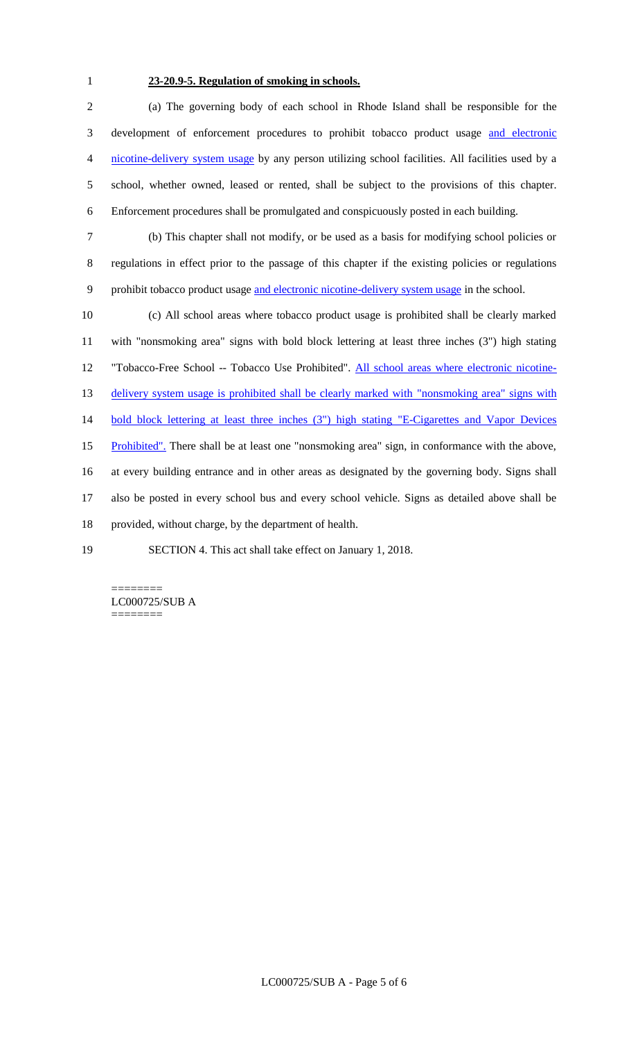## **23-20.9-5. Regulation of smoking in schools.**

 (a) The governing body of each school in Rhode Island shall be responsible for the development of enforcement procedures to prohibit tobacco product usage and electronic nicotine-delivery system usage by any person utilizing school facilities. All facilities used by a school, whether owned, leased or rented, shall be subject to the provisions of this chapter. Enforcement procedures shall be promulgated and conspicuously posted in each building.

 (b) This chapter shall not modify, or be used as a basis for modifying school policies or regulations in effect prior to the passage of this chapter if the existing policies or regulations 9 prohibit tobacco product usage and electronic nicotine-delivery system usage in the school.

 (c) All school areas where tobacco product usage is prohibited shall be clearly marked with "nonsmoking area" signs with bold block lettering at least three inches (3") high stating 12 "Tobacco-Free School -- Tobacco Use Prohibited". All school areas where electronic nicotine-13 delivery system usage is prohibited shall be clearly marked with "nonsmoking area" signs with 14 bold block lettering at least three inches (3") high stating "E-Cigarettes and Vapor Devices 15 Prohibited". There shall be at least one "nonsmoking area" sign, in conformance with the above, at every building entrance and in other areas as designated by the governing body. Signs shall also be posted in every school bus and every school vehicle. Signs as detailed above shall be provided, without charge, by the department of health. SECTION 4. This act shall take effect on January 1, 2018.

======== LC000725/SUB A ========